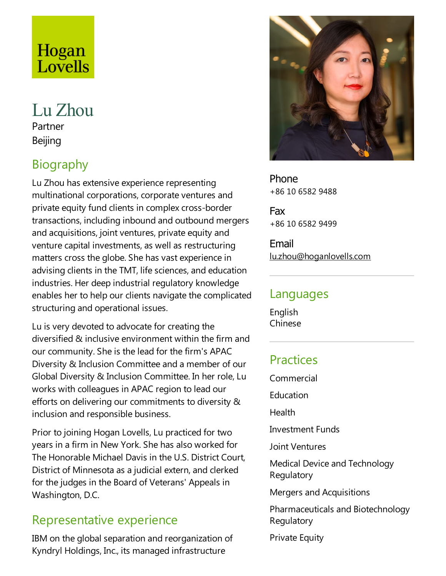# Hogan Lovells

# Lu Zhou Partner Beijing

# Biography

Lu Zhou has extensive experience representing multinational corporations, corporate ventures and private equity fund clients in complex cross-border transactions, including inbound and outbound mergers and acquisitions, joint ventures, private equity and venture capital investments, as well as restructuring matters cross the globe. She has vast experience in advising clients in the TMT, life sciences, and education industries. Her deep industrial regulatory knowledge enables her to help our clients navigate the complicated structuring and operational issues.

Lu is very devoted to advocate for creating the diversified & inclusive environment within the firm and our community. She is the lead for the firm's APAC Diversity & Inclusion Committee and a member of our Global Diversity & Inclusion Committee. In her role, Lu works with colleagues in APAC region to lead our efforts on delivering our commitments to diversity & inclusion and responsible business.

Prior to joining Hogan Lovells, Lu practiced for two years in afirm in New York. She has also worked for The Honorable Michael Davis in the U.S. District Court, District of Minnesota as a judicial extern, and clerked for the judges in the Board of Veterans' Appeals in Washington, D.C.

#### Representative experience

IBM on the global separation and reorganization of Kyndryl Holdings, Inc., its managed infrastructure



Phone +86 10 6582 9488

Fax +86 10 6582 9499

Email lu.zhou@hoganlovells.com

#### Languages

English Chinese

### Practices

Commercial

**Education** 

Health

**Investment Funds** 

Joint Ventures

Medical Device and Technology Regulatory

Mergers and Acquisitions

Pharmaceuticals and Biotechnology **Regulatory** 

**Private Equity**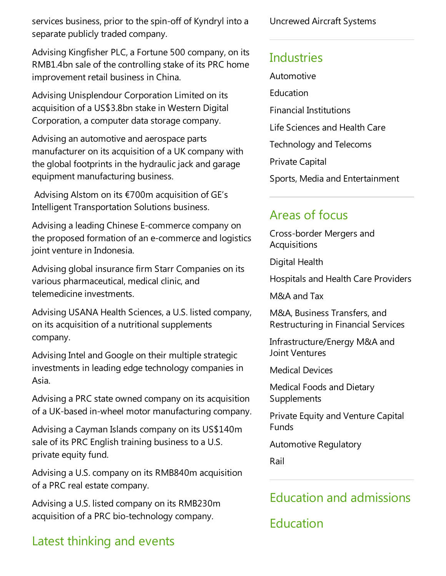services business, prior to the spin-off of Kyndryl into a separate publicly traded company.

Advising Kingfisher PLC, a Fortune 500 company, on its RMB1.4bn sale of the controlling stake of its PRC home improvement retail business in China.

Advising Unisplendour Corporation Limited on its acquisition of a US\$3.8bn stake in Western Digital Corporation, a computer data storage company.

Advising an automotive and aerospace parts manufacturer on its acquisition of a UK company with the global footprints in the hydraulic jack and garage equipment manufacturing business.

Advising Alstom on its €700m acquisition of GE's Intelligent Transportation Solutions business.

Advising a leading Chinese E-commerce company on the proposed formation of an e-commerce and logistics joint venture in Indonesia.

Advising global insurance firm Starr Companies on its various pharmaceutical, medical clinic, and telemedicine investments.

Advising USANA Health Sciences, a U.S. listed company, on its acquisition of a nutritional supplements company.

Advising Intel and Google on their multiplestrategic investments in leading edge technology companies in Asia.

Advising a PRC state owned company on its acquisition of a UK-based in-wheel motor manufacturing company.

Advising a Cayman Islands company on its US\$140m sale of its PRC English training business to a U.S. private equity fund.

Advising a U.S. company on its RMB840m acquisition of a PRC real estate company.

Advising a U.S. listed company on its RMB230m acquisition of a PRC bio-technology company.

### Latest thinking and events

Uncrewed Aircraft Systems

### **Industries**

Automotive Education Financial Institutions Life Sciences and Health Care Technology and Telecoms Private Capital Sports, Media and Entertainment

#### Areas of focus

Cross-border Mergers and **Acquisitions** 

Digital Health

Hospitals and Health Care Providers

M&A and Tax

M&A, Business Transfers,and Restructuring in Financial Services

Infrastructure/Energy M&A and Joint Ventures

Medical Devices

Medical Foods and Dietary Supplements

Private Equity and Venture Capital Funds

Automotive Regulatory

Rail

## Education and admissions

Education